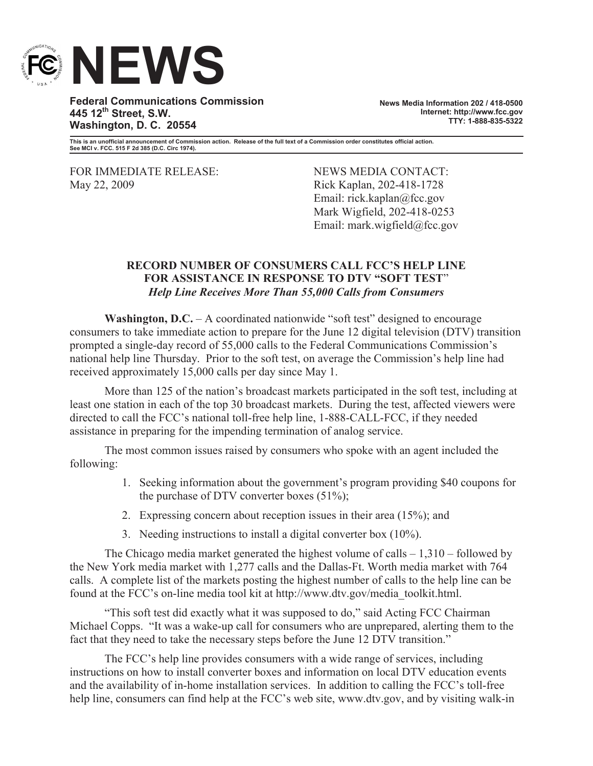

**Federal Communications Commission 445 12th Street, S.W. Washington, D. C. 20554**

**News Media Information 202 / 418-0500 Internet: http://www.fcc.gov TTY: 1-888-835-5322**

**This is an unofficial announcement of Commission action. Release of the full text of a Commission order constitutes official action. See MCI v. FCC. 515 F 2d 385 (D.C. Circ 1974).**

FOR IMMEDIATE RELEASE: NEWS MEDIA CONTACT:<br>
May 22, 2009 Rick Kaplan. 202-418-1728

Rick Kaplan, 202-418-1728 Email: rick.kaplan@fcc.gov Mark Wigfield, 202-418-0253 Email: mark.wigfield@fcc.gov

## **RECORD NUMBER OF CONSUMERS CALL FCC'S HELP LINE FOR ASSISTANCE IN RESPONSE TO DTV "SOFT TEST**" *Help Line Receives More Than 55,000 Calls from Consumers*

**Washington, D.C.** – A coordinated nationwide "soft test" designed to encourage consumers to take immediate action to prepare for the June 12 digital television (DTV) transition prompted a single-day record of 55,000 calls to the Federal Communications Commission's national help line Thursday. Prior to the soft test, on average the Commission's help line had received approximately 15,000 calls per day since May 1.

More than 125 of the nation's broadcast markets participated in the soft test, including at least one station in each of the top 30 broadcast markets. During the test, affected viewers were directed to call the FCC's national toll-free help line, 1-888-CALL-FCC, if they needed assistance in preparing for the impending termination of analog service.

The most common issues raised by consumers who spoke with an agent included the following:

- 1. Seeking information about the government's program providing \$40 coupons for the purchase of DTV converter boxes  $(51\%)$ ;
- 2. Expressing concern about reception issues in their area (15%); and
- 3. Needing instructions to install a digital converter box (10%).

The Chicago media market generated the highest volume of calls – 1,310 – followed by the New York media market with 1,277 calls and the Dallas-Ft. Worth media market with 764 calls. A complete list of the markets posting the highest number of calls to the help line can be found at the FCC's on-line media tool kit at http://www.dtv.gov/media\_toolkit.html.

"This soft test did exactly what it was supposed to do," said Acting FCC Chairman Michael Copps. "It was a wake-up call for consumers who are unprepared, alerting them to the fact that they need to take the necessary steps before the June 12 DTV transition."

The FCC's help line provides consumers with a wide range of services, including instructions on how to install converter boxes and information on local DTV education events and the availability of in-home installation services. In addition to calling the FCC's toll-free help line, consumers can find help at the FCC's web site, www.dtv.gov, and by visiting walk-in